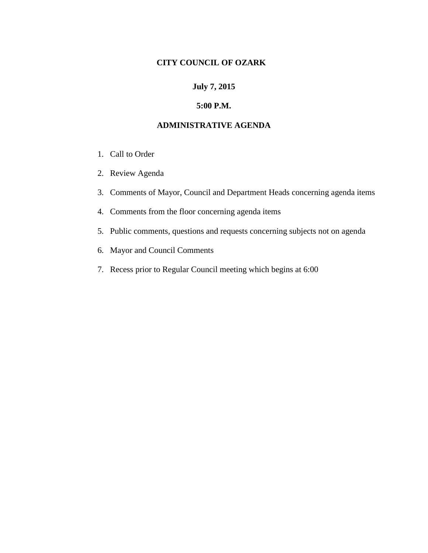## **CITY COUNCIL OF OZARK**

### **July 7, 2015**

#### **5:00 P.M.**

#### **ADMINISTRATIVE AGENDA**

- 1. Call to Order
- 2. Review Agenda
- 3. Comments of Mayor, Council and Department Heads concerning agenda items
- 4. Comments from the floor concerning agenda items
- 5. Public comments, questions and requests concerning subjects not on agenda
- 6. Mayor and Council Comments
- 7. Recess prior to Regular Council meeting which begins at 6:00